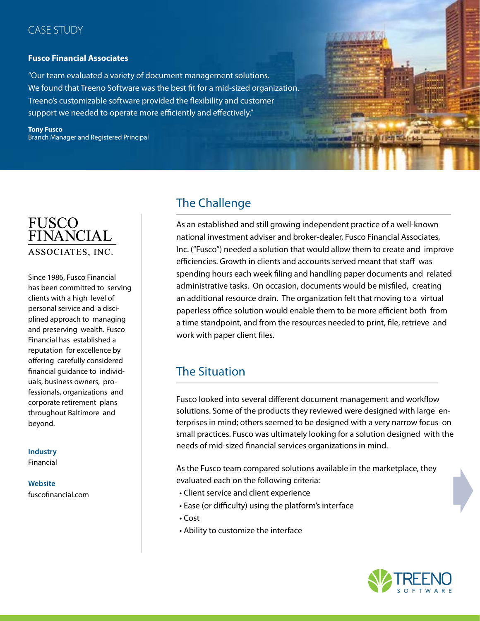#### CASE STUDY

#### **Fusco Financial Associates**

"Our team evaluated a variety of document management solutions. We found that Treeno Software was the best fit for a mid-sized organization. Treeno's customizable software provided the flexibility and customer support we needed to operate more efficiently and effectively."

**Tony Fusco**  Branch Manager and Registered Principal



Since 1986, Fusco Financial has been committed to serving clients with a high level of personal service and a disciplined approach to managing and preserving wealth. Fusco Financial has established a reputation for excellence by offering carefully considered financial guidance to individuals, business owners, professionals, organizations and corporate retirement plans throughout Baltimore and beyond.

#### **Industry**

Financial

**Website**  fuscofinancial.com

# The Challenge

As an established and still growing independent practice of a well-known national investment adviser and broker-dealer, Fusco Financial Associates, Inc. ("Fusco") needed a solution that would allow them to create and improve efficiencies. Growth in clients and accounts served meant that staff was spending hours each week filing and handling paper documents and related administrative tasks. On occasion, documents would be misfiled, creating an additional resource drain. The organization felt that moving to a virtual paperless office solution would enable them to be more efficient both from a time standpoint, and from the resources needed to print, file, retrieve and work with paper client files.

# The Situation

Fusco looked into several different document management and workflow solutions. Some of the products they reviewed were designed with large enterprises in mind; others seemed to be designed with a very narrow focus on small practices. Fusco was ultimately looking for a solution designed with the needs of mid-sized financial services organizations in mind.

As the Fusco team compared solutions available in the marketplace, they evaluated each on the following criteria:

- Client service and client experience
- Ease (or difficulty) using the platform's interface
- Cost
- Ability to customize the interface

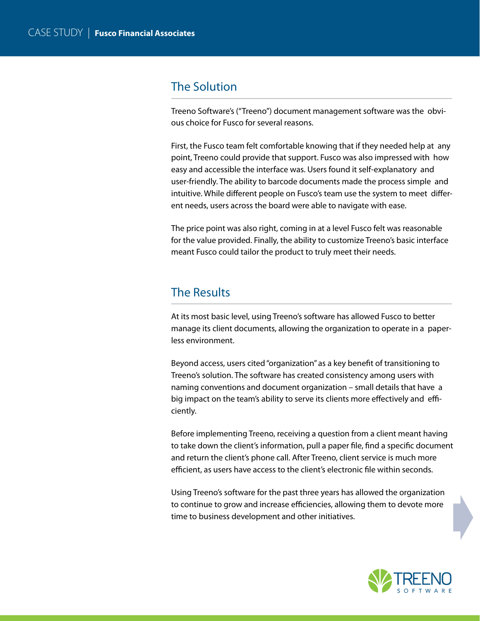## The Solution

Treeno Software's ("Treeno") document management software was the obvious choice for Fusco for several reasons.

First, the Fusco team felt comfortable knowing that if they needed help at any point, Treeno could provide that support. Fusco was also impressed with how easy and accessible the interface was. Users found it self-explanatory and user-friendly. The ability to barcode documents made the process simple and intuitive. While different people on Fusco's team use the system to meet different needs, users across the board were able to navigate with ease.

The price point was also right, coming in at a level Fusco felt was reasonable for the value provided. Finally, the ability to customize Treeno's basic interface meant Fusco could tailor the product to truly meet their needs.

#### The Results

At its most basic level, using Treeno's software has allowed Fusco to better manage its client documents, allowing the organization to operate in a paperless environment.

Beyond access, users cited "organization" as a key benefit of transitioning to Treeno's solution. The software has created consistency among users with naming conventions and document organization – small details that have a big impact on the team's ability to serve its clients more effectively and efficiently.

Before implementing Treeno, receiving a question from a client meant having to take down the client's information, pull a paper file, find a specific document and return the client's phone call. After Treeno, client service is much more efficient, as users have access to the client's electronic file within seconds.

Using Treeno's software for the past three years has allowed the organization to continue to grow and increase efficiencies, allowing them to devote more time to business development and other initiatives.